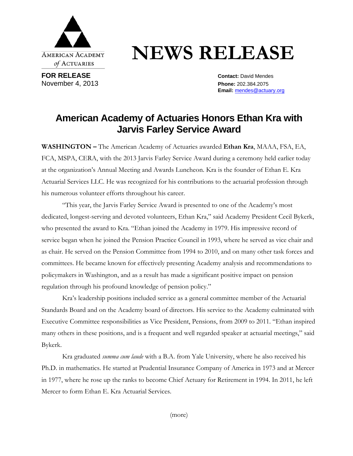

## **NEWS RELEASE**

**FOR RELEASE Contact: David Mendes** November 4, 2013 **Phone:** 202.384.2075

**Email:** mendes@actuary.org

## **American Academy of Actuaries Honors Ethan Kra with Jarvis Farley Service Award**

**WASHINGTON –** The American Academy of Actuaries awarded **Ethan Kra**, MAAA, FSA, EA, FCA, MSPA, CERA, with the 2013 Jarvis Farley Service Award during a ceremony held earlier today at the organization's Annual Meeting and Awards Luncheon. Kra is the founder of Ethan E. Kra Actuarial Services LLC. He was recognized for his contributions to the actuarial profession through his numerous volunteer efforts throughout his career.

"This year, the Jarvis Farley Service Award is presented to one of the Academy's most dedicated, longest-serving and devoted volunteers, Ethan Kra," said Academy President Cecil Bykerk, who presented the award to Kra. "Ethan joined the Academy in 1979. His impressive record of service began when he joined the Pension Practice Council in 1993, where he served as vice chair and as chair. He served on the Pension Committee from 1994 to 2010, and on many other task forces and committees. He became known for effectively presenting Academy analysis and recommendations to policymakers in Washington, and as a result has made a significant positive impact on pension regulation through his profound knowledge of pension policy."

Kra's leadership positions included service as a general committee member of the Actuarial Standards Board and on the Academy board of directors. His service to the Academy culminated with Executive Committee responsibilities as Vice President, Pensions, from 2009 to 2011. "Ethan inspired many others in these positions, and is a frequent and well regarded speaker at actuarial meetings," said Bykerk.

Kra graduated *summa cum laude* with a B.A. from Yale University, where he also received his Ph.D. in mathematics. He started at Prudential Insurance Company of America in 1973 and at Mercer in 1977, where he rose up the ranks to become Chief Actuary for Retirement in 1994. In 2011, he left Mercer to form Ethan E. Kra Actuarial Services.

(more)